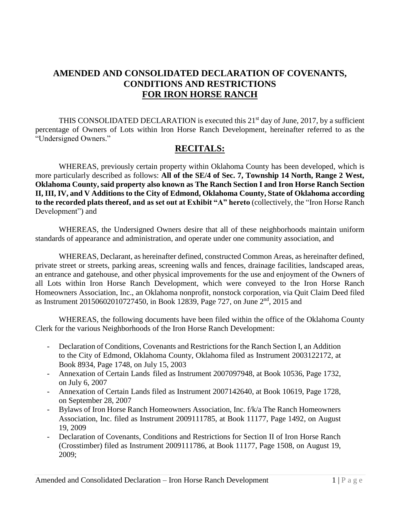# **AMENDED AND CONSOLIDATED DECLARATION OF COVENANTS, CONDITIONS AND RESTRICTIONS FOR IRON HORSE RANCH**

THIS CONSOLIDATED DECLARATION is executed this  $21<sup>st</sup>$  day of June, 2017, by a sufficient percentage of Owners of Lots within Iron Horse Ranch Development, hereinafter referred to as the "Undersigned Owners."

## **RECITALS:**

WHEREAS, previously certain property within Oklahoma County has been developed, which is more particularly described as follows: **All of the SE/4 of Sec. 7, Township 14 North, Range 2 West, Oklahoma County, said property also known as The Ranch Section I and Iron Horse Ranch Section II, III, IV, and V Additions to the City of Edmond, Oklahoma County, State of Oklahoma according to the recorded plats thereof, and as set out at Exhibit "A" hereto** (collectively, the "Iron Horse Ranch Development") and

WHEREAS, the Undersigned Owners desire that all of these neighborhoods maintain uniform standards of appearance and administration, and operate under one community association, and

WHEREAS, Declarant, as hereinafter defined, constructed Common Areas, as hereinafter defined, private street or streets, parking areas, screening walls and fences, drainage facilities, landscaped areas, an entrance and gatehouse, and other physical improvements for the use and enjoyment of the Owners of all Lots within Iron Horse Ranch Development, which were conveyed to the Iron Horse Ranch Homeowners Association, Inc., an Oklahoma nonprofit, nonstock corporation, via Quit Claim Deed filed as Instrument 20150602010727450, in Book 12839, Page 727, on June 2nd, 2015 and

WHEREAS, the following documents have been filed within the office of the Oklahoma County Clerk for the various Neighborhoods of the Iron Horse Ranch Development:

- Declaration of Conditions, Covenants and Restrictions for the Ranch Section I, an Addition to the City of Edmond, Oklahoma County, Oklahoma filed as Instrument 2003122172, at Book 8934, Page 1748, on July 15, 2003
- Annexation of Certain Lands filed as Instrument 2007097948, at Book 10536, Page 1732, on July 6, 2007
- Annexation of Certain Lands filed as Instrument 2007142640, at Book 10619, Page 1728, on September 28, 2007
- Bylaws of Iron Horse Ranch Homeowners Association, Inc. f/k/a The Ranch Homeowners Association, Inc. filed as Instrument 2009111785, at Book 11177, Page 1492, on August 19, 2009
- Declaration of Covenants, Conditions and Restrictions for Section II of Iron Horse Ranch (Crosstimber) filed as Instrument 2009111786, at Book 11177, Page 1508, on August 19, 2009;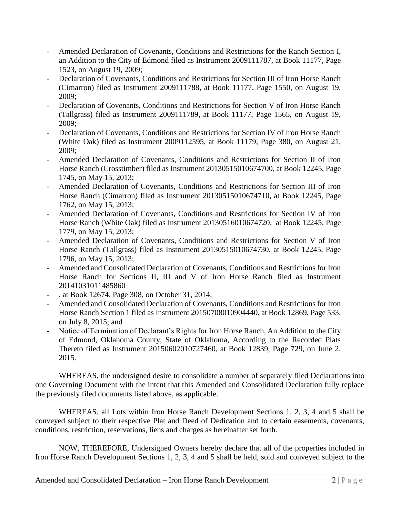- Amended Declaration of Covenants, Conditions and Restrictions for the Ranch Section I, an Addition to the City of Edmond filed as Instrument 2009111787, at Book 11177, Page 1523, on August 19, 2009;
- Declaration of Covenants, Conditions and Restrictions for Section III of Iron Horse Ranch (Cimarron) filed as Instrument 2009111788, at Book 11177, Page 1550, on August 19, 2009;
- Declaration of Covenants, Conditions and Restrictions for Section V of Iron Horse Ranch (Tallgrass) filed as Instrument 2009111789, at Book 11177, Page 1565, on August 19, 2009;
- Declaration of Covenants, Conditions and Restrictions for Section IV of Iron Horse Ranch (White Oak) filed as Instrument 2009112595, at Book 11179, Page 380, on August 21, 2009;
- Amended Declaration of Covenants, Conditions and Restrictions for Section II of Iron Horse Ranch (Crosstimber) filed as Instrument 20130515010674700, at Book 12245, Page 1745, on May 15, 2013;
- Amended Declaration of Covenants, Conditions and Restrictions for Section III of Iron Horse Ranch (Cimarron) filed as Instrument 20130515010674710, at Book 12245, Page 1762, on May 15, 2013;
- Amended Declaration of Covenants, Conditions and Restrictions for Section IV of Iron Horse Ranch (White Oak) filed as Instrument 20130516010674720, at Book 12245, Page 1779, on May 15, 2013;
- Amended Declaration of Covenants, Conditions and Restrictions for Section V of Iron Horse Ranch (Tallgrass) filed as Instrument 20130515010674730, at Book 12245, Page 1796, on May 15, 2013;
- Amended and Consolidated Declaration of Covenants, Conditions and Restrictions for Iron Horse Ranch for Sections II, III and V of Iron Horse Ranch filed as Instrument 20141031011485860
- , at Book 12674, Page 308, on October 31, 2014;
- Amended and Consolidated Declaration of Covenants, Conditions and Restrictions for Iron Horse Ranch Section 1 filed as Instrument 20150708010904440, at Book 12869, Page 533, on July 8, 2015; and
- Notice of Termination of Declarant's Rights for Iron Horse Ranch, An Addition to the City of Edmond, Oklahoma County, State of Oklahoma, According to the Recorded Plats Thereto filed as Instrument 20150602010727460, at Book 12839, Page 729, on June 2, 2015.

WHEREAS, the undersigned desire to consolidate a number of separately filed Declarations into one Governing Document with the intent that this Amended and Consolidated Declaration fully replace the previously filed documents listed above, as applicable.

WHEREAS, all Lots within Iron Horse Ranch Development Sections 1, 2, 3, 4 and 5 shall be conveyed subject to their respective Plat and Deed of Dedication and to certain easements, covenants, conditions, restriction, reservations, liens and charges as hereinafter set forth.

NOW, THEREFORE, Undersigned Owners hereby declare that all of the properties included in Iron Horse Ranch Development Sections 1, 2, 3, 4 and 5 shall be held, sold and conveyed subject to the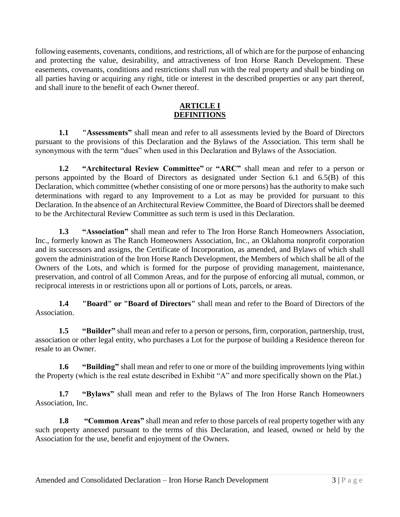following easements, covenants, conditions, and restrictions, all of which are for the purpose of enhancing and protecting the value, desirability, and attractiveness of Iron Horse Ranch Development. These easements, covenants, conditions and restrictions shall run with the real property and shall be binding on all parties having or acquiring any right, title or interest in the described properties or any part thereof, and shall inure to the benefit of each Owner thereof.

## **ARTICLE I DEFINITIONS**

**1.1 "Assessments"** shall mean and refer to all assessments levied by the Board of Directors pursuant to the provisions of this Declaration and the Bylaws of the Association. This term shall be synonymous with the term "dues" when used in this Declaration and Bylaws of the Association.

**1.2 "Architectural Review Committee"** or **"ARC"** shall mean and refer to a person or persons appointed by the Board of Directors as designated under Section 6.1 and 6.5(B) of this Declaration, which committee (whether consisting of one or more persons) has the authority to make such determinations with regard to any Improvement to a Lot as may be provided for pursuant to this Declaration. In the absence of an Architectural Review Committee, the Board of Directors shall be deemed to be the Architectural Review Committee as such term is used in this Declaration.

**1.3 "Association"** shall mean and refer to The Iron Horse Ranch Homeowners Association, Inc., formerly known as The Ranch Homeowners Association, Inc., an Oklahoma nonprofit corporation and its successors and assigns, the Certificate of Incorporation, as amended, and Bylaws of which shall govern the administration of the Iron Horse Ranch Development, the Members of which shall be all of the Owners of the Lots, and which is formed for the purpose of providing management, maintenance, preservation, and control of all Common Areas, and for the purpose of enforcing all mutual, common, or reciprocal interests in or restrictions upon all or portions of Lots, parcels, or areas.

**1.4 "Board" or "Board of Directors"** shall mean and refer to the Board of Directors of the Association.

**1.5 "Builder"** shall mean and refer to a person or persons, firm, corporation, partnership, trust, association or other legal entity, who purchases a Lot for the purpose of building a Residence thereon for resale to an Owner.

**1.6 "Building"** shall mean and refer to one or more of the building improvements lying within the Property (which is the real estate described in Exhibit "A" and more specifically shown on the Plat.)

**1.7 "Bylaws"** shall mean and refer to the Bylaws of The Iron Horse Ranch Homeowners Association, Inc.

**1.8 "Common Areas"** shall mean and refer to those parcels of real property together with any such property annexed pursuant to the terms of this Declaration, and leased, owned or held by the Association for the use, benefit and enjoyment of the Owners.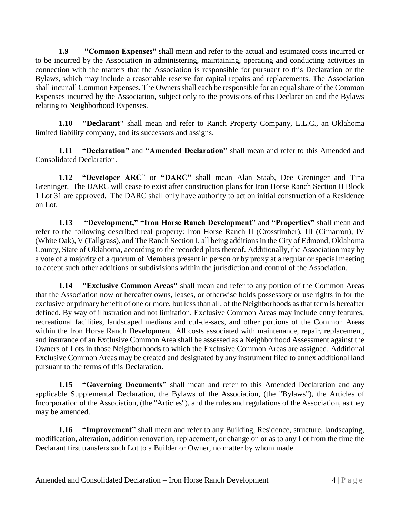**1.9 "Common Expenses"** shall mean and refer to the actual and estimated costs incurred or to be incurred by the Association in administering, maintaining, operating and conducting activities in connection with the matters that the Association is responsible for pursuant to this Declaration or the Bylaws, which may include a reasonable reserve for capital repairs and replacements. The Association shall incur all Common Expenses. The Owners shall each be responsible for an equal share of the Common Expenses incurred by the Association, subject only to the provisions of this Declaration and the Bylaws relating to Neighborhood Expenses.

**1.10 "Declarant"** shall mean and refer to Ranch Property Company, L.L.C., an Oklahoma limited liability company, and its successors and assigns.

**1.11 "Declaration"** and **"Amended Declaration"** shall mean and refer to this Amended and Consolidated Declaration.

**1.12 "Developer ARC**" or **"DARC"** shall mean Alan Staab, Dee Greninger and Tina Greninger. The DARC will cease to exist after construction plans for Iron Horse Ranch Section II Block 1 Lot 31 are approved. The DARC shall only have authority to act on initial construction of a Residence on Lot.

**1.13 "Development," "Iron Horse Ranch Development"** and **"Properties"** shall mean and refer to the following described real property: Iron Horse Ranch II (Crosstimber), III (Cimarron), IV (White Oak), V (Tallgrass), and The Ranch Section I, all being additions in the City of Edmond, Oklahoma County, State of Oklahoma, according to the recorded plats thereof. Additionally, the Association may by a vote of a majority of a quorum of Members present in person or by proxy at a regular or special meeting to accept such other additions or subdivisions within the jurisdiction and control of the Association.

**1.14 "Exclusive Common Areas"** shall mean and refer to any portion of the Common Areas that the Association now or hereafter owns, leases, or otherwise holds possessory or use rights in for the exclusive or primary benefit of one or more, but less than all, of the Neighborhoods as that term is hereafter defined. By way of illustration and not limitation, Exclusive Common Areas may include entry features, recreational facilities, landscaped medians and cul-de-sacs, and other portions of the Common Areas within the Iron Horse Ranch Development. All costs associated with maintenance, repair, replacement, and insurance of an Exclusive Common Area shall be assessed as a Neighborhood Assessment against the Owners of Lots in those Neighborhoods to which the Exclusive Common Areas are assigned. Additional Exclusive Common Areas may be created and designated by any instrument filed to annex additional land pursuant to the terms of this Declaration.

**1.15 "Governing Documents"** shall mean and refer to this Amended Declaration and any applicable Supplemental Declaration, the Bylaws of the Association, (the "Bylaws"), the Articles of Incorporation of the Association, (the "Articles"), and the rules and regulations of the Association, as they may be amended.

**1.16 "Improvement"** shall mean and refer to any Building, Residence, structure, landscaping, modification, alteration, addition renovation, replacement, or change on or as to any Lot from the time the Declarant first transfers such Lot to a Builder or Owner, no matter by whom made.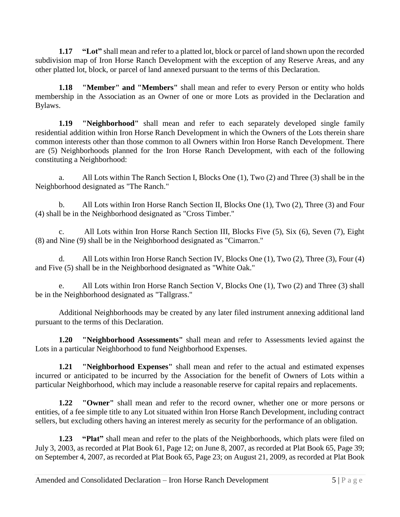**1.17 "Lot"** shall mean and refer to a platted lot, block or parcel of land shown upon the recorded subdivision map of Iron Horse Ranch Development with the exception of any Reserve Areas, and any other platted lot, block, or parcel of land annexed pursuant to the terms of this Declaration.

**1.18 "Member" and "Members"** shall mean and refer to every Person or entity who holds membership in the Association as an Owner of one or more Lots as provided in the Declaration and Bylaws.

**1.19 "Neighborhood"** shall mean and refer to each separately developed single family residential addition within Iron Horse Ranch Development in which the Owners of the Lots therein share common interests other than those common to all Owners within Iron Horse Ranch Development. There are (5) Neighborhoods planned for the Iron Horse Ranch Development, with each of the following constituting a Neighborhood:

a. All Lots within The Ranch Section I, Blocks One (1), Two (2) and Three (3) shall be in the Neighborhood designated as "The Ranch."

b. All Lots within Iron Horse Ranch Section II, Blocks One (1), Two (2), Three (3) and Four (4) shall be in the Neighborhood designated as "Cross Timber."

c. All Lots within Iron Horse Ranch Section III, Blocks Five (5), Six (6), Seven (7), Eight (8) and Nine (9) shall be in the Neighborhood designated as "Cimarron."

d. All Lots within Iron Horse Ranch Section IV, Blocks One (1), Two (2), Three (3), Four (4) and Five (5) shall be in the Neighborhood designated as "White Oak."

e. All Lots within Iron Horse Ranch Section V, Blocks One (1), Two (2) and Three (3) shall be in the Neighborhood designated as "Tallgrass."

Additional Neighborhoods may be created by any later filed instrument annexing additional land pursuant to the terms of this Declaration.

**1.20 "Neighborhood Assessments"** shall mean and refer to Assessments levied against the Lots in a particular Neighborhood to fund Neighborhood Expenses.

**1.21 "Neighborhood Expenses"** shall mean and refer to the actual and estimated expenses incurred or anticipated to be incurred by the Association for the benefit of Owners of Lots within a particular Neighborhood, which may include a reasonable reserve for capital repairs and replacements.

**1.22 "Owner"** shall mean and refer to the record owner, whether one or more persons or entities, of a fee simple title to any Lot situated within Iron Horse Ranch Development, including contract sellers, but excluding others having an interest merely as security for the performance of an obligation.

**1.23 "Plat"** shall mean and refer to the plats of the Neighborhoods, which plats were filed on July 3, 2003, as recorded at Plat Book 61, Page 12; on June 8, 2007, as recorded at Plat Book 65, Page 39; on September 4, 2007, as recorded at Plat Book 65, Page 23; on August 21, 2009, as recorded at Plat Book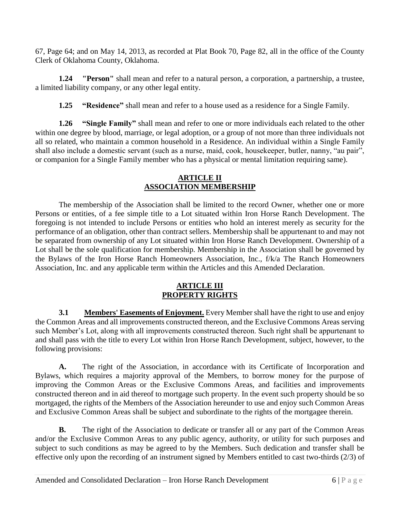67, Page 64; and on May 14, 2013, as recorded at Plat Book 70, Page 82, all in the office of the County Clerk of Oklahoma County, Oklahoma.

**1.24 "Person"** shall mean and refer to a natural person, a corporation, a partnership, a trustee, a limited liability company, or any other legal entity.

**1.25 "Residence"** shall mean and refer to a house used as a residence for a Single Family.

**1.26 "Single Family"** shall mean and refer to one or more individuals each related to the other within one degree by blood, marriage, or legal adoption, or a group of not more than three individuals not all so related, who maintain a common household in a Residence. An individual within a Single Family shall also include a domestic servant (such as a nurse, maid, cook, housekeeper, butler, nanny, "au pair", or companion for a Single Family member who has a physical or mental limitation requiring same).

## **ARTICLE II ASSOCIATION MEMBERSHIP**

The membership of the Association shall be limited to the record Owner, whether one or more Persons or entities, of a fee simple title to a Lot situated within Iron Horse Ranch Development. The foregoing is not intended to include Persons or entities who hold an interest merely as security for the performance of an obligation, other than contract sellers. Membership shall be appurtenant to and may not be separated from ownership of any Lot situated within Iron Horse Ranch Development. Ownership of a Lot shall be the sole qualification for membership. Membership in the Association shall be governed by the Bylaws of the Iron Horse Ranch Homeowners Association, Inc., f/k/a The Ranch Homeowners Association, Inc. and any applicable term within the Articles and this Amended Declaration.

## **ARTICLE III PROPERTY RIGHTS**

**3.1 Members' Easements of Enjoyment.** Every Member shall have the right to use and enjoy the Common Areas and all improvements constructed thereon, and the Exclusive Commons Areas serving such Member's Lot, along with all improvements constructed thereon. Such right shall be appurtenant to and shall pass with the title to every Lot within Iron Horse Ranch Development, subject, however, to the following provisions:

**A.** The right of the Association, in accordance with its Certificate of Incorporation and Bylaws, which requires a majority approval of the Members, to borrow money for the purpose of improving the Common Areas or the Exclusive Commons Areas, and facilities and improvements constructed thereon and in aid thereof to mortgage such property. In the event such property should be so mortgaged, the rights of the Members of the Association hereunder to use and enjoy such Common Areas and Exclusive Common Areas shall be subject and subordinate to the rights of the mortgagee therein.

**B.** The right of the Association to dedicate or transfer all or any part of the Common Areas and/or the Exclusive Common Areas to any public agency, authority, or utility for such purposes and subject to such conditions as may be agreed to by the Members. Such dedication and transfer shall be effective only upon the recording of an instrument signed by Members entitled to cast two-thirds (2/3) of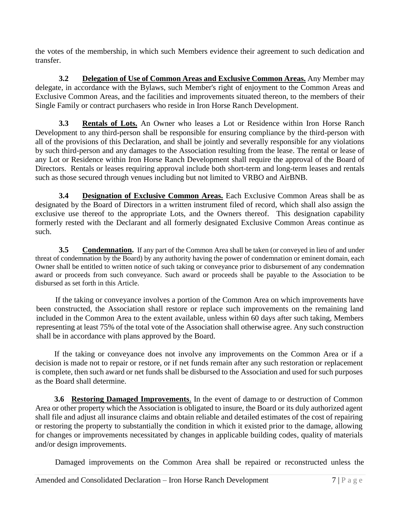the votes of the membership, in which such Members evidence their agreement to such dedication and transfer.

**3.2 Delegation of Use of Common Areas and Exclusive Common Areas.** Any Member may delegate, in accordance with the Bylaws, such Member's right of enjoyment to the Common Areas and Exclusive Common Areas, and the facilities and improvements situated thereon, to the members of their Single Family or contract purchasers who reside in Iron Horse Ranch Development.

**3.3 Rentals of Lots.** An Owner who leases a Lot or Residence within Iron Horse Ranch Development to any third-person shall be responsible for ensuring compliance by the third-person with all of the provisions of this Declaration, and shall be jointly and severally responsible for any violations by such third-person and any damages to the Association resulting from the lease. The rental or lease of any Lot or Residence within Iron Horse Ranch Development shall require the approval of the Board of Directors. Rentals or leases requiring approval include both short-term and long-term leases and rentals such as those secured through venues including but not limited to VRBO and AirBNB.

**3.4 Designation of Exclusive Common Areas.** Each Exclusive Common Areas shall be as designated by the Board of Directors in a written instrument filed of record, which shall also assign the exclusive use thereof to the appropriate Lots, and the Owners thereof. This designation capability formerly rested with the Declarant and all formerly designated Exclusive Common Areas continue as such.

**3.5 Condemnation.** If any part of the Common Area shall be taken (or conveyed in lieu of and under threat of condemnation by the Board) by any authority having the power of condemnation or eminent domain, each Owner shall be entitled to written notice of such taking or conveyance prior to disbursement of any condemnation award or proceeds from such conveyance. Such award or proceeds shall be payable to the Association to be disbursed as set forth in this Article.

If the taking or conveyance involves a portion of the Common Area on which improvements have been constructed, the Association shall restore or replace such improvements on the remaining land included in the Common Area to the extent available, unless within 60 days after such taking, Members representing at least 75% of the total vote of the Association shall otherwise agree. Any such construction shall be in accordance with plans approved by the Board.

If the taking or conveyance does not involve any improvements on the Common Area or if a decision is made not to repair or restore, or if net funds remain after any such restoration or replacement is complete, then such award or net funds shall be disbursed to the Association and used for such purposes as the Board shall determine.

**3.6 Restoring Damaged Improvements**. In the event of damage to or destruction of Common Area or other property which the Association is obligated to insure, the Board or its duly authorized agent shall file and adjust all insurance claims and obtain reliable and detailed estimates of the cost of repairing or restoring the property to substantially the condition in which it existed prior to the damage, allowing for changes or improvements necessitated by changes in applicable building codes, quality of materials and/or design improvements.

Damaged improvements on the Common Area shall be repaired or reconstructed unless the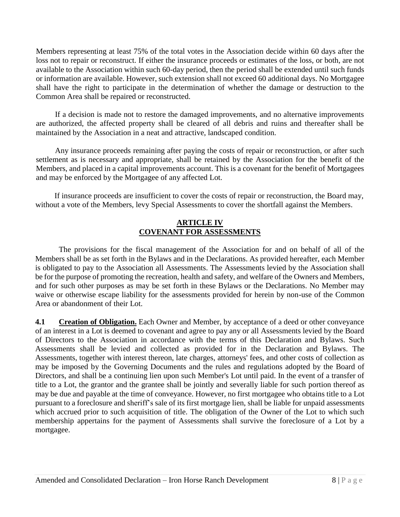Members representing at least 75% of the total votes in the Association decide within 60 days after the loss not to repair or reconstruct. If either the insurance proceeds or estimates of the loss, or both, are not available to the Association within such 60-day period, then the period shall be extended until such funds or information are available. However, such extension shall not exceed 60 additional days. No Mortgagee shall have the right to participate in the determination of whether the damage or destruction to the Common Area shall be repaired or reconstructed.

If a decision is made not to restore the damaged improvements, and no alternative improvements are authorized, the affected property shall be cleared of all debris and ruins and thereafter shall be maintained by the Association in a neat and attractive, landscaped condition.

Any insurance proceeds remaining after paying the costs of repair or reconstruction, or after such settlement as is necessary and appropriate, shall be retained by the Association for the benefit of the Members, and placed in a capital improvements account. This is a covenant for the benefit of Mortgagees and may be enforced by the Mortgagee of any affected Lot.

If insurance proceeds are insufficient to cover the costs of repair or reconstruction, the Board may, without a vote of the Members, levy Special Assessments to cover the shortfall against the Members.

#### **ARTICLE IV COVENANT FOR ASSESSMENTS**

The provisions for the fiscal management of the Association for and on behalf of all of the Members shall be as set forth in the Bylaws and in the Declarations. As provided hereafter, each Member is obligated to pay to the Association all Assessments. The Assessments levied by the Association shall be for the purpose of promoting the recreation, health and safety, and welfare of the Owners and Members, and for such other purposes as may be set forth in these Bylaws or the Declarations. No Member may waive or otherwise escape liability for the assessments provided for herein by non-use of the Common Area or abandonment of their Lot.

**4.1 Creation of Obligation.** Each Owner and Member, by acceptance of a deed or other conveyance of an interest in a Lot is deemed to covenant and agree to pay any or all Assessments levied by the Board of Directors to the Association in accordance with the terms of this Declaration and Bylaws. Such Assessments shall be levied and collected as provided for in the Declaration and Bylaws. The Assessments, together with interest thereon, late charges, attorneys' fees, and other costs of collection as may be imposed by the Governing Documents and the rules and regulations adopted by the Board of Directors, and shall be a continuing lien upon such Member's Lot until paid. In the event of a transfer of title to a Lot, the grantor and the grantee shall be jointly and severally liable for such portion thereof as may be due and payable at the time of conveyance. However, no first mortgagee who obtains title to a Lot pursuant to a foreclosure and sheriff's sale of its first mortgage lien, shall be liable for unpaid assessments which accrued prior to such acquisition of title. The obligation of the Owner of the Lot to which such membership appertains for the payment of Assessments shall survive the foreclosure of a Lot by a mortgagee.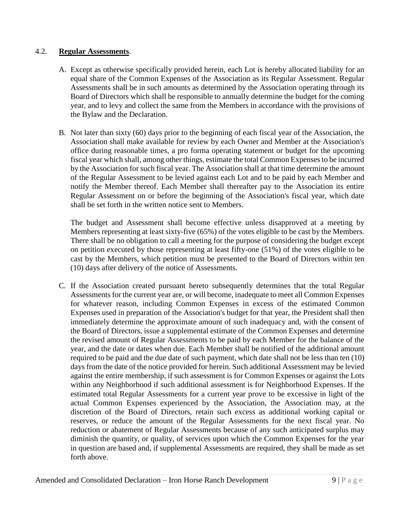#### 4.2. **Regular Assessments**.

- A. Except as otherwise specifically provided herein, each Lot is hereby allocated liability for an equal share of the Common Expenses of the Association as its Regular Assessment. Regular Assessments shall be in such amounts as determined by the Association operating through its Board of Directors which shall be responsible to annually determine the budget for the coming year, and to levy and collect the same from the Members in accordance with the provisions of the Bylaw and the Declaration.
- B. Not later than sixty (60) days prior to the beginning of each fiscal year of the Association, the Association shall make available for review by each Owner and Member at the Association's office during reasonable times, a pro forma operating statement or budget for the upcoming fiscal year which shall, among other things, estimate the total Common Expenses to be incurred by the Association for such fiscal year. The Association shall at that time determine the amount of the Regular Assessment to be levied against each Lot and to be paid by each Member and notify the Member thereof. Each Member shall thereafter pay to the Association its entire Regular Assessment on or before the beginning of the Association's fiscal year, which date shall be set forth in the written notice sent to Members.

The budget and Assessment shall become effective unless disapproved at a meeting by Members representing at least sixty-five (65%) of the votes eligible to be cast by the Members. There shall be no obligation to call a meeting for the purpose of considering the budget except on petition executed by those representing at least fifty-one (51%) of the votes eligible to be cast by the Members, which petition must be presented to the Board of Directors within ten (10) days after delivery of the notice of Assessments.

C. If the Association created pursuant hereto subsequently determines that the total Regular Assessments for the current year are, or will become, inadequate to meet all Common Expenses for whatever reason, including Common Expenses in excess of the estimated Common Expenses used in preparation of the Association's budget for that year, the President shall then immediately determine the approximate amount of such inadequacy and, with the consent of the Board of Directors, issue a supplemental estimate of the Common Expenses and determine the revised amount of Regular Assessments to be paid by each Member for the balance of the year, and the date or dates when due. Each Member shall be notified of the additional amount required to be paid and the due date of such payment, which date shall not be less than ten (10) days from the date of the notice provided for herein. Such additional Assessment may be levied against the entire membership, if such assessment is for Common Expenses or against the Lots within any Neighborhood if such additional assessment is for Neighborhood Expenses. If the estimated total Regular Assessments for a current year prove to be excessive in light of the actual Common Expenses experienced by the Association, the Association may, at the discretion of the Board of Directors, retain such excess as additional working capital or reserves, or reduce the amount of the Regular Assessments for the next fiscal year. No reduction or abatement of Regular Assessments because of any such anticipated surplus may diminish the quantity, or quality, of services upon which the Common Expenses for the year in question are based and, if supplemental Assessments are required, they shall be made as set forth above.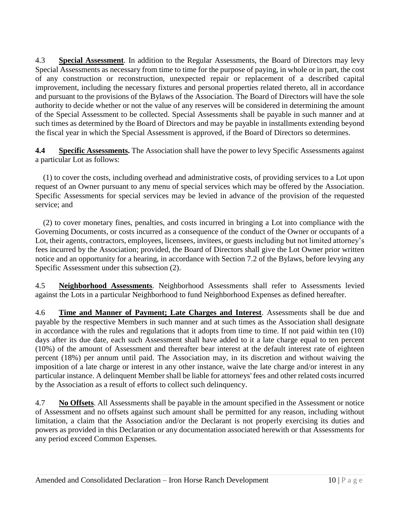4.3 **Special Assessment**. In addition to the Regular Assessments, the Board of Directors may levy Special Assessments as necessary from time to time for the purpose of paying, in whole or in part, the cost of any construction or reconstruction, unexpected repair or replacement of a described capital improvement, including the necessary fixtures and personal properties related thereto, all in accordance and pursuant to the provisions of the Bylaws of the Association. The Board of Directors will have the sole authority to decide whether or not the value of any reserves will be considered in determining the amount of the Special Assessment to be collected. Special Assessments shall be payable in such manner and at such times as determined by the Board of Directors and may be payable in installments extending beyond the fiscal year in which the Special Assessment is approved, if the Board of Directors so determines.

**4.4 Specific Assessments.** The Association shall have the power to levy Specific Assessments against a particular Lot as follows:

 (1) to cover the costs, including overhead and administrative costs, of providing services to a Lot upon request of an Owner pursuant to any menu of special services which may be offered by the Association. Specific Assessments for special services may be levied in advance of the provision of the requested service; and

 (2) to cover monetary fines, penalties, and costs incurred in bringing a Lot into compliance with the Governing Documents, or costs incurred as a consequence of the conduct of the Owner or occupants of a Lot, their agents, contractors, employees, licensees, invitees, or guests including but not limited attorney's fees incurred by the Association; provided, the Board of Directors shall give the Lot Owner prior written notice and an opportunity for a hearing, in accordance with Section 7.2 of the Bylaws, before levying any Specific Assessment under this subsection (2).

4.5 **Neighborhood Assessments**. Neighborhood Assessments shall refer to Assessments levied against the Lots in a particular Neighborhood to fund Neighborhood Expenses as defined hereafter.

4.6 **Time and Manner of Payment; Late Charges and Interest**. Assessments shall be due and payable by the respective Members in such manner and at such times as the Association shall designate in accordance with the rules and regulations that it adopts from time to time. If not paid within ten (10) days after its due date, each such Assessment shall have added to it a late charge equal to ten percent (10%) of the amount of Assessment and thereafter bear interest at the default interest rate of eighteen percent (18%) per annum until paid. The Association may, in its discretion and without waiving the imposition of a late charge or interest in any other instance, waive the late charge and/or interest in any particular instance. A delinquent Member shall be liable for attorneys' fees and other related costs incurred by the Association as a result of efforts to collect such delinquency.

4.7 **No Offsets**. All Assessments shall be payable in the amount specified in the Assessment or notice of Assessment and no offsets against such amount shall be permitted for any reason, including without limitation, a claim that the Association and/or the Declarant is not properly exercising its duties and powers as provided in this Declaration or any documentation associated herewith or that Assessments for any period exceed Common Expenses.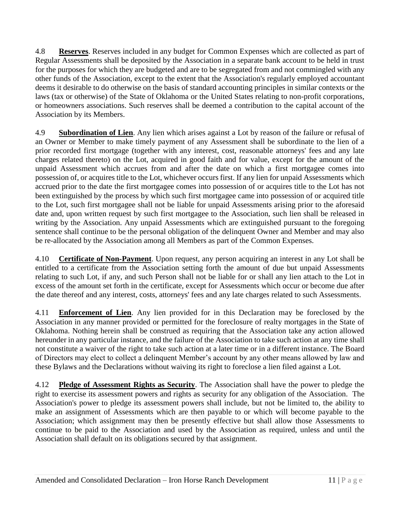4.8 **Reserves**. Reserves included in any budget for Common Expenses which are collected as part of Regular Assessments shall be deposited by the Association in a separate bank account to be held in trust for the purposes for which they are budgeted and are to be segregated from and not commingled with any other funds of the Association, except to the extent that the Association's regularly employed accountant deems it desirable to do otherwise on the basis of standard accounting principles in similar contexts or the laws (tax or otherwise) of the State of Oklahoma or the United States relating to non-profit corporations, or homeowners associations. Such reserves shall be deemed a contribution to the capital account of the Association by its Members.

4.9 **Subordination of Lien**. Any lien which arises against a Lot by reason of the failure or refusal of an Owner or Member to make timely payment of any Assessment shall be subordinate to the lien of a prior recorded first mortgage (together with any interest, cost, reasonable attorneys' fees and any late charges related thereto) on the Lot, acquired in good faith and for value, except for the amount of the unpaid Assessment which accrues from and after the date on which a first mortgagee comes into possession of, or acquires title to the Lot, whichever occurs first. If any lien for unpaid Assessments which accrued prior to the date the first mortgagee comes into possession of or acquires title to the Lot has not been extinguished by the process by which such first mortgagee came into possession of or acquired title to the Lot, such first mortgagee shall not be liable for unpaid Assessments arising prior to the aforesaid date and, upon written request by such first mortgagee to the Association, such lien shall be released in writing by the Association. Any unpaid Assessments which are extinguished pursuant to the foregoing sentence shall continue to be the personal obligation of the delinquent Owner and Member and may also be re-allocated by the Association among all Members as part of the Common Expenses.

4.10 **Certificate of Non-Payment**. Upon request, any person acquiring an interest in any Lot shall be entitled to a certificate from the Association setting forth the amount of due but unpaid Assessments relating to such Lot, if any, and such Person shall not be liable for or shall any lien attach to the Lot in excess of the amount set forth in the certificate, except for Assessments which occur or become due after the date thereof and any interest, costs, attorneys' fees and any late charges related to such Assessments.

4.11 **Enforcement of Lien**. Any lien provided for in this Declaration may be foreclosed by the Association in any manner provided or permitted for the foreclosure of realty mortgages in the State of Oklahoma. Nothing herein shall be construed as requiring that the Association take any action allowed hereunder in any particular instance, and the failure of the Association to take such action at any time shall not constitute a waiver of the right to take such action at a later time or in a different instance. The Board of Directors may elect to collect a delinquent Member's account by any other means allowed by law and these Bylaws and the Declarations without waiving its right to foreclose a lien filed against a Lot.

4.12 **Pledge of Assessment Rights as Security**. The Association shall have the power to pledge the right to exercise its assessment powers and rights as security for any obligation of the Association. The Association's power to pledge its assessment powers shall include, but not be limited to, the ability to make an assignment of Assessments which are then payable to or which will become payable to the Association; which assignment may then be presently effective but shall allow those Assessments to continue to be paid to the Association and used by the Association as required, unless and until the Association shall default on its obligations secured by that assignment.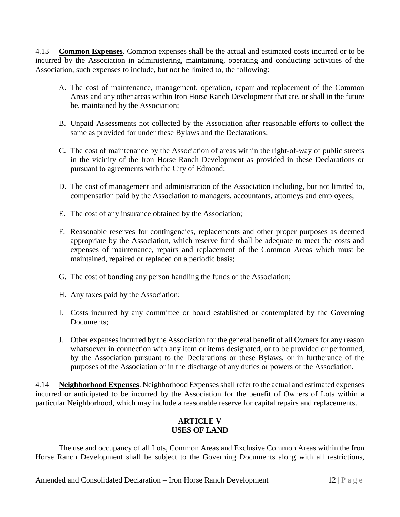4.13 **Common Expenses**. Common expenses shall be the actual and estimated costs incurred or to be incurred by the Association in administering, maintaining, operating and conducting activities of the Association, such expenses to include, but not be limited to, the following:

- A. The cost of maintenance, management, operation, repair and replacement of the Common Areas and any other areas within Iron Horse Ranch Development that are, or shall in the future be, maintained by the Association;
- B. Unpaid Assessments not collected by the Association after reasonable efforts to collect the same as provided for under these Bylaws and the Declarations;
- C. The cost of maintenance by the Association of areas within the right-of-way of public streets in the vicinity of the Iron Horse Ranch Development as provided in these Declarations or pursuant to agreements with the City of Edmond;
- D. The cost of management and administration of the Association including, but not limited to, compensation paid by the Association to managers, accountants, attorneys and employees;
- E. The cost of any insurance obtained by the Association;
- F. Reasonable reserves for contingencies, replacements and other proper purposes as deemed appropriate by the Association, which reserve fund shall be adequate to meet the costs and expenses of maintenance, repairs and replacement of the Common Areas which must be maintained, repaired or replaced on a periodic basis;
- G. The cost of bonding any person handling the funds of the Association;
- H. Any taxes paid by the Association;
- I. Costs incurred by any committee or board established or contemplated by the Governing Documents;
- J. Other expenses incurred by the Association for the general benefit of all Owners for any reason whatsoever in connection with any item or items designated, or to be provided or performed, by the Association pursuant to the Declarations or these Bylaws, or in furtherance of the purposes of the Association or in the discharge of any duties or powers of the Association.

4.14 **Neighborhood Expenses**. Neighborhood Expenses shall refer to the actual and estimated expenses incurred or anticipated to be incurred by the Association for the benefit of Owners of Lots within a particular Neighborhood, which may include a reasonable reserve for capital repairs and replacements.

## **ARTICLE V USES OF LAND**

The use and occupancy of all Lots, Common Areas and Exclusive Common Areas within the Iron Horse Ranch Development shall be subject to the Governing Documents along with all restrictions,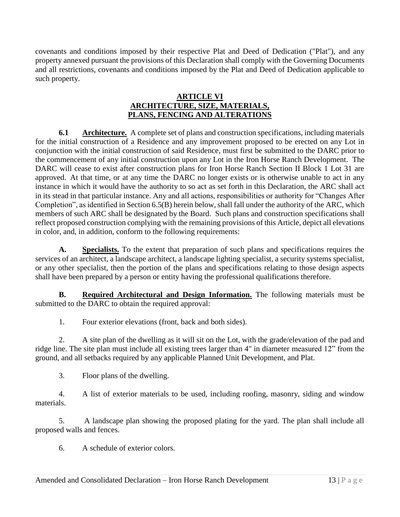covenants and conditions imposed by their respective Plat and Deed of Dedication ("Plat"), and any property annexed pursuant the provisions of this Declaration shall comply with the Governing Documents and all restrictions, covenants and conditions imposed by the Plat and Deed of Dedication applicable to such property.

## **ARTICLE VI ARCHITECTURE, SIZE, MATERIALS, PLANS, FENCING AND ALTERATIONS**

**6.1** Architecture. A complete set of plans and construction specifications, including materials for the initial construction of a Residence and any improvement proposed to be erected on any Lot in conjunction with the initial construction of said Residence, must first be submitted to the DARC prior to the commencement of any initial construction upon any Lot in the Iron Horse Ranch Development. The DARC will cease to exist after construction plans for Iron Horse Ranch Section II Block 1 Lot 31 are approved. At that time, or at any time the DARC no longer exists or is otherwise unable to act in any instance in which it would have the authority to so act as set forth in this Declaration, the ARC shall act in its stead in that particular instance. Any and all actions, responsibilities or authority for "Changes After Completion", as identified in Section 6.5(B) herein below, shall fall under the authority of the ARC, which members of such ARC shall be designated by the Board. Such plans and construction specifications shall reflect proposed construction complying with the remaining provisions of this Article, depict all elevations in color, and, in addition, conform to the following requirements:

**A. Specialists.** To the extent that preparation of such plans and specifications requires the services of an architect, a landscape architect, a landscape lighting specialist, a security systems specialist, or any other specialist, then the portion of the plans and specifications relating to those design aspects shall have been prepared by a person or entity having the professional qualifications therefore.

**B. Required Architectural and Design Information.** The following materials must be submitted to the DARC to obtain the required approval:

1. Four exterior elevations (front, back and both sides).

2. A site plan of the dwelling as it will sit on the Lot, with the grade/elevation of the pad and ridge line. The site plan must include all existing trees larger than 4" in diameter measured 12" from the ground, and all setbacks required by any applicable Planned Unit Development, and Plat.

3. Floor plans of the dwelling.

4. A list of exterior materials to be used, including roofing, masonry, siding and window materials.

5. A landscape plan showing the proposed plating for the yard. The plan shall include all proposed walls and fences.

6. A schedule of exterior colors.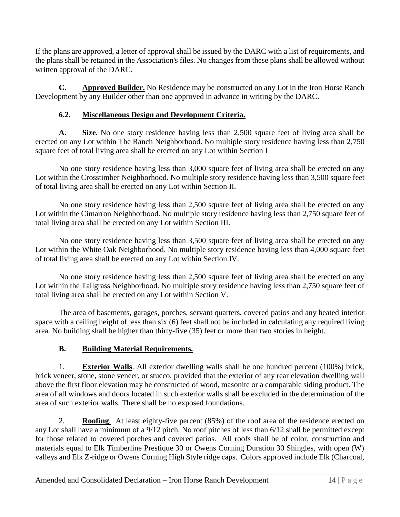If the plans are approved, a letter of approval shall be issued by the DARC with a list of requirements, and the plans shall be retained in the Association's files. No changes from these plans shall be allowed without written approval of the DARC.

**C. Approved Builder.** No Residence may be constructed on any Lot in the Iron Horse Ranch Development by any Builder other than one approved in advance in writing by the DARC.

## **6.2. Miscellaneous Design and Development Criteria.**

**A. Size.** No one story residence having less than 2,500 square feet of living area shall be erected on any Lot within The Ranch Neighborhood. No multiple story residence having less than 2,750 square feet of total living area shall be erected on any Lot within Section I

No one story residence having less than 3,000 square feet of living area shall be erected on any Lot within the Crosstimber Neighborhood. No multiple story residence having less than 3,500 square feet of total living area shall be erected on any Lot within Section II.

No one story residence having less than 2,500 square feet of living area shall be erected on any Lot within the Cimarron Neighborhood. No multiple story residence having less than 2,750 square feet of total living area shall be erected on any Lot within Section III.

No one story residence having less than 3,500 square feet of living area shall be erected on any Lot within the White Oak Neighborhood. No multiple story residence having less than 4,000 square feet of total living area shall be erected on any Lot within Section IV.

No one story residence having less than 2,500 square feet of living area shall be erected on any Lot within the Tallgrass Neighborhood. No multiple story residence having less than 2,750 square feet of total living area shall be erected on any Lot within Section V.

The area of basements, garages, porches, servant quarters, covered patios and any heated interior space with a ceiling height of less than six (6) feet shall not be included in calculating any required living area. No building shall be higher than thirty-five (35) feet or more than two stories in height.

## **B. Building Material Requirements.**

1. **Exterior Walls**. All exterior dwelling walls shall be one hundred percent (100%) brick, brick veneer, stone, stone veneer, or stucco, provided that the exterior of any rear elevation dwelling wall above the first floor elevation may be constructed of wood, masonite or a comparable siding product. The area of all windows and doors located in such exterior walls shall be excluded in the determination of the area of such exterior walls. There shall be no exposed foundations.

2. **Roofing**. At least eighty-five percent (85%) of the roof area of the residence erected on any Lot shall have a minimum of a 9/12 pitch. No roof pitches of less than 6/12 shall be permitted except for those related to covered porches and covered patios. All roofs shall be of color, construction and materials equal to Elk Timberline Prestique 30 or Owens Corning Duration 30 Shingles, with open (W) valleys and Elk Z-ridge or Owens Corning High Style ridge caps. Colors approved include Elk (Charcoal,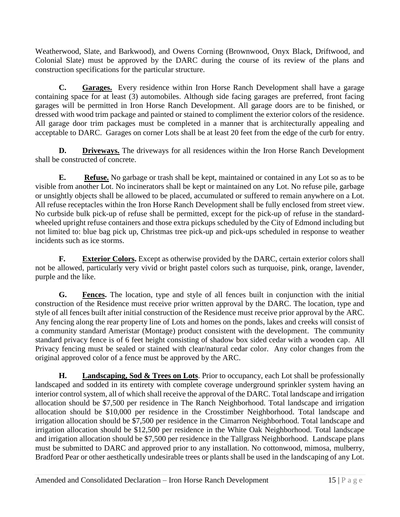Weatherwood, Slate, and Barkwood), and Owens Corning (Brownwood, Onyx Black, Driftwood, and Colonial Slate) must be approved by the DARC during the course of its review of the plans and construction specifications for the particular structure.

**C. Garages.** Every residence within Iron Horse Ranch Development shall have a garage containing space for at least (3) automobiles. Although side facing garages are preferred, front facing garages will be permitted in Iron Horse Ranch Development. All garage doors are to be finished, or dressed with wood trim package and painted or stained to compliment the exterior colors of the residence. All garage door trim packages must be completed in a manner that is architecturally appealing and acceptable to DARC. Garages on corner Lots shall be at least 20 feet from the edge of the curb for entry.

**D.** Driveways. The driveways for all residences within the Iron Horse Ranch Development shall be constructed of concrete.

**E. Refuse.** No garbage or trash shall be kept, maintained or contained in any Lot so as to be visible from another Lot. No incinerators shall be kept or maintained on any Lot. No refuse pile, garbage or unsightly objects shall be allowed to be placed, accumulated or suffered to remain anywhere on a Lot. All refuse receptacles within the Iron Horse Ranch Development shall be fully enclosed from street view. No curbside bulk pick-up of refuse shall be permitted, except for the pick-up of refuse in the standardwheeled upright refuse containers and those extra pickups scheduled by the City of Edmond including but not limited to: blue bag pick up, Christmas tree pick-up and pick-ups scheduled in response to weather incidents such as ice storms.

**F. Exterior Colors.** Except as otherwise provided by the DARC, certain exterior colors shall not be allowed, particularly very vivid or bright pastel colors such as turquoise, pink, orange, lavender, purple and the like.

**G. Fences.** The location, type and style of all fences built in conjunction with the initial construction of the Residence must receive prior written approval by the DARC. The location, type and style of all fences built after initial construction of the Residence must receive prior approval by the ARC. Any fencing along the rear property line of Lots and homes on the ponds, lakes and creeks will consist of a community standard Ameristar (Montage) product consistent with the development. The community standard privacy fence is of 6 feet height consisting of shadow box sided cedar with a wooden cap. All Privacy fencing must be sealed or stained with clear/natural cedar color. Any color changes from the original approved color of a fence must be approved by the ARC.

**H.** Landscaping, Sod & Trees on Lots. Prior to occupancy, each Lot shall be professionally landscaped and sodded in its entirety with complete coverage underground sprinkler system having an interior control system, all of which shall receive the approval of the DARC. Total landscape and irrigation allocation should be \$7,500 per residence in The Ranch Neighborhood. Total landscape and irrigation allocation should be \$10,000 per residence in the Crosstimber Neighborhood. Total landscape and irrigation allocation should be \$7,500 per residence in the Cimarron Neighborhood. Total landscape and irrigation allocation should be \$12,500 per residence in the White Oak Neighborhood. Total landscape and irrigation allocation should be \$7,500 per residence in the Tallgrass Neighborhood. Landscape plans must be submitted to DARC and approved prior to any installation. No cottonwood, mimosa, mulberry, Bradford Pear or other aesthetically undesirable trees or plants shall be used in the landscaping of any Lot.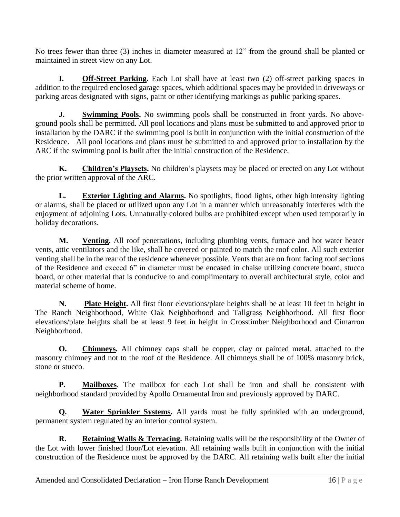No trees fewer than three (3) inches in diameter measured at 12" from the ground shall be planted or maintained in street view on any Lot.

**I. Off-Street Parking.** Each Lot shall have at least two (2) off-street parking spaces in addition to the required enclosed garage spaces, which additional spaces may be provided in driveways or parking areas designated with signs, paint or other identifying markings as public parking spaces.

**J.** Swimming Pools. No swimming pools shall be constructed in front yards. No aboveground pools shall be permitted. All pool locations and plans must be submitted to and approved prior to installation by the DARC if the swimming pool is built in conjunction with the initial construction of the Residence. All pool locations and plans must be submitted to and approved prior to installation by the ARC if the swimming pool is built after the initial construction of the Residence.

**K. Children's Playsets.** No children's playsets may be placed or erected on any Lot without the prior written approval of the ARC.

**L. Exterior Lighting and Alarms.** No spotlights, flood lights, other high intensity lighting or alarms, shall be placed or utilized upon any Lot in a manner which unreasonably interferes with the enjoyment of adjoining Lots. Unnaturally colored bulbs are prohibited except when used temporarily in holiday decorations.

**M. Venting.** All roof penetrations, including plumbing vents, furnace and hot water heater vents, attic ventilators and the like, shall be covered or painted to match the roof color. All such exterior venting shall be in the rear of the residence whenever possible. Vents that are on front facing roof sections of the Residence and exceed 6" in diameter must be encased in chaise utilizing concrete board, stucco board, or other material that is conducive to and complimentary to overall architectural style, color and material scheme of home.

**N. Plate Height.** All first floor elevations/plate heights shall be at least 10 feet in height in The Ranch Neighborhood, White Oak Neighborhood and Tallgrass Neighborhood. All first floor elevations/plate heights shall be at least 9 feet in height in Crosstimber Neighborhood and Cimarron Neighborhood.

**O. Chimneys.** All chimney caps shall be copper, clay or painted metal, attached to the masonry chimney and not to the roof of the Residence. All chimneys shall be of 100% masonry brick, stone or stucco.

**P. Mailboxes**. The mailbox for each Lot shall be iron and shall be consistent with neighborhood standard provided by Apollo Ornamental Iron and previously approved by DARC.

**Q. Water Sprinkler Systems.** All yards must be fully sprinkled with an underground, permanent system regulated by an interior control system.

**R.** Retaining Walls & Terracing. Retaining walls will be the responsibility of the Owner of the Lot with lower finished floor/Lot elevation. All retaining walls built in conjunction with the initial construction of the Residence must be approved by the DARC. All retaining walls built after the initial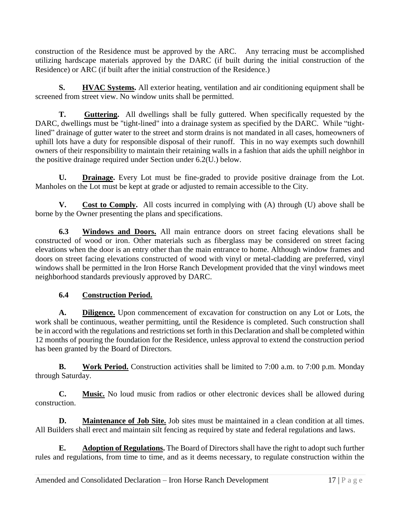construction of the Residence must be approved by the ARC. Any terracing must be accomplished utilizing hardscape materials approved by the DARC (if built during the initial construction of the Residence) or ARC (if built after the initial construction of the Residence.)

**S. HVAC Systems.** All exterior heating, ventilation and air conditioning equipment shall be screened from street view. No window units shall be permitted.

**T. Guttering.** All dwellings shall be fully guttered. When specifically requested by the DARC, dwellings must be "tight-lined" into a drainage system as specified by the DARC. While "tightlined" drainage of gutter water to the street and storm drains is not mandated in all cases, homeowners of uphill lots have a duty for responsible disposal of their runoff. This in no way exempts such downhill owners of their responsibility to maintain their retaining walls in a fashion that aids the uphill neighbor in the positive drainage required under Section under 6.2(U.) below.

**U. Drainage.** Every Lot must be fine-graded to provide positive drainage from the Lot. Manholes on the Lot must be kept at grade or adjusted to remain accessible to the City.

**V.** Cost to Comply. All costs incurred in complying with (A) through (U) above shall be borne by the Owner presenting the plans and specifications.

**6.3 Windows and Doors.** All main entrance doors on street facing elevations shall be constructed of wood or iron. Other materials such as fiberglass may be considered on street facing elevations when the door is an entry other than the main entrance to home. Although window frames and doors on street facing elevations constructed of wood with vinyl or metal-cladding are preferred, vinyl windows shall be permitted in the Iron Horse Ranch Development provided that the vinyl windows meet neighborhood standards previously approved by DARC.

## **6.4 Construction Period.**

**A. Diligence.** Upon commencement of excavation for construction on any Lot or Lots, the work shall be continuous, weather permitting, until the Residence is completed. Such construction shall be in accord with the regulations and restrictions set forth in this Declaration and shall be completed within 12 months of pouring the foundation for the Residence, unless approval to extend the construction period has been granted by the Board of Directors.

**B. Work Period.** Construction activities shall be limited to 7:00 a.m. to 7:00 p.m. Monday through Saturday.

**C. Music.** No loud music from radios or other electronic devices shall be allowed during construction.

**D.** Maintenance of Job Site. Job sites must be maintained in a clean condition at all times. All Builders shall erect and maintain silt fencing as required by state and federal regulations and laws.

**E. Adoption of Regulations.** The Board of Directors shall have the right to adopt such further rules and regulations, from time to time, and as it deems necessary, to regulate construction within the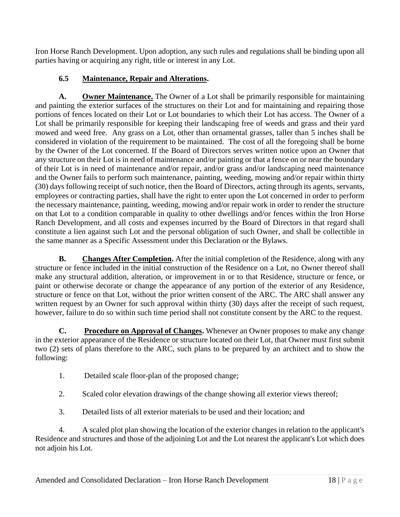Iron Horse Ranch Development. Upon adoption, any such rules and regulations shall be binding upon all parties having or acquiring any right, title or interest in any Lot.

## **6.5 Maintenance, Repair and Alterations.**

**A. Owner Maintenance.** The Owner of a Lot shall be primarily responsible for maintaining and painting the exterior surfaces of the structures on their Lot and for maintaining and repairing those portions of fences located on their Lot or Lot boundaries to which their Lot has access. The Owner of a Lot shall be primarily responsible for keeping their landscaping free of weeds and grass and their yard mowed and weed free. Any grass on a Lot, other than ornamental grasses, taller than 5 inches shall be considered in violation of the requirement to be maintained. The cost of all the foregoing shall be borne by the Owner of the Lot concerned. If the Board of Directors serves written notice upon an Owner that any structure on their Lot is in need of maintenance and/or painting or that a fence on or near the boundary of their Lot is in need of maintenance and/or repair, and/or grass and/or landscaping need maintenance and the Owner fails to perform such maintenance, painting, weeding, mowing and/or repair within thirty (30) days following receipt of such notice, then the Board of Directors, acting through its agents, servants, employees or contracting parties, shall have the right to enter upon the Lot concerned in order to perform the necessary maintenance, painting, weeding, mowing and/or repair work in order to render the structure on that Lot to a condition comparable in quality to other dwellings and/or fences within the Iron Horse Ranch Development, and all costs and expenses incurred by the Board of Directors in that regard shall constitute a lien against such Lot and the personal obligation of such Owner, and shall be collectible in the same manner as a Specific Assessment under this Declaration or the Bylaws.

**B.** Changes After Completion. After the initial completion of the Residence, along with any structure or fence included in the initial construction of the Residence on a Lot, no Owner thereof shall make any structural addition, alteration, or improvement in or to that Residence, structure or fence, or paint or otherwise decorate or change the appearance of any portion of the exterior of any Residence, structure or fence on that Lot, without the prior written consent of the ARC. The ARC shall answer any written request by an Owner for such approval within thirty (30) days after the receipt of such request, however, failure to do so within such time period shall not constitute consent by the ARC to the request.

**C. Procedure on Approval of Changes.** Whenever an Owner proposes to make any change in the exterior appearance of the Residence or structure located on their Lot, that Owner must first submit two (2) sets of plans therefore to the ARC, such plans to be prepared by an architect and to show the following:

- 1. Detailed scale floor-plan of the proposed change;
- 2. Scaled color elevation drawings of the change showing all exterior views thereof;
- 3. Detailed lists of all exterior materials to be used and their location; and

4. A scaled plot plan showing the location of the exterior changes in relation to the applicant's Residence and structures and those of the adjoining Lot and the Lot nearest the applicant's Lot which does not adjoin his Lot.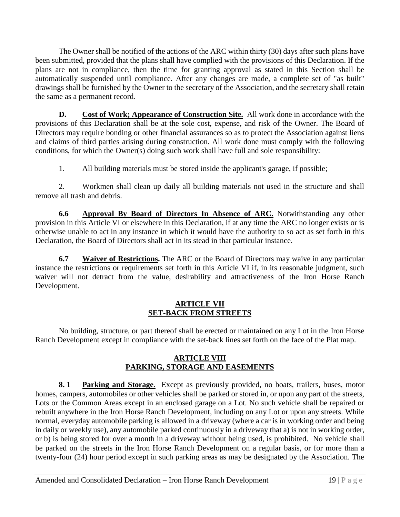The Owner shall be notified of the actions of the ARC within thirty (30) days after such plans have been submitted, provided that the plans shall have complied with the provisions of this Declaration. If the plans are not in compliance, then the time for granting approval as stated in this Section shall be automatically suspended until compliance. After any changes are made, a complete set of "as built" drawings shall be furnished by the Owner to the secretary of the Association, and the secretary shall retain the same as a permanent record.

**D. Cost of Work; Appearance of Construction Site.** All work done in accordance with the provisions of this Declaration shall be at the sole cost, expense, and risk of the Owner. The Board of Directors may require bonding or other financial assurances so as to protect the Association against liens and claims of third parties arising during construction. All work done must comply with the following conditions, for which the Owner(s) doing such work shall have full and sole responsibility:

1. All building materials must be stored inside the applicant's garage, if possible;

2. Workmen shall clean up daily all building materials not used in the structure and shall remove all trash and debris.

**6.6 Approval By Board of Directors In Absence of ARC.** Notwithstanding any other provision in this Article VI or elsewhere in this Declaration, if at any time the ARC no longer exists or is otherwise unable to act in any instance in which it would have the authority to so act as set forth in this Declaration, the Board of Directors shall act in its stead in that particular instance.

**6.7 Waiver of Restrictions.** The ARC or the Board of Directors may waive in any particular instance the restrictions or requirements set forth in this Article VI if, in its reasonable judgment, such waiver will not detract from the value, desirability and attractiveness of the Iron Horse Ranch Development.

## **ARTICLE VII SET-BACK FROM STREETS**

No building, structure, or part thereof shall be erected or maintained on any Lot in the Iron Horse Ranch Development except in compliance with the set-back lines set forth on the face of the Plat map.

## **ARTICLE VIII PARKING, STORAGE AND EASEMENTS**

**8. 1 Parking and Storage**. Except as previously provided, no boats, trailers, buses, motor homes, campers, automobiles or other vehicles shall be parked or stored in, or upon any part of the streets, Lots or the Common Areas except in an enclosed garage on a Lot. No such vehicle shall be repaired or rebuilt anywhere in the Iron Horse Ranch Development, including on any Lot or upon any streets. While normal, everyday automobile parking is allowed in a driveway (where a car is in working order and being in daily or weekly use), any automobile parked continuously in a driveway that a) is not in working order, or b) is being stored for over a month in a driveway without being used, is prohibited. No vehicle shall be parked on the streets in the Iron Horse Ranch Development on a regular basis, or for more than a twenty-four (24) hour period except in such parking areas as may be designated by the Association. The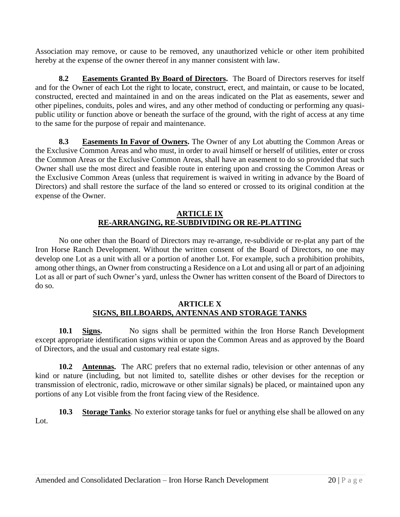Association may remove, or cause to be removed, any unauthorized vehicle or other item prohibited hereby at the expense of the owner thereof in any manner consistent with law.

**8.2** Easements Granted By Board of Directors. The Board of Directors reserves for itself and for the Owner of each Lot the right to locate, construct, erect, and maintain, or cause to be located, constructed, erected and maintained in and on the areas indicated on the Plat as easements, sewer and other pipelines, conduits, poles and wires, and any other method of conducting or performing any quasipublic utility or function above or beneath the surface of the ground, with the right of access at any time to the same for the purpose of repair and maintenance.

**8.3 Easements In Favor of Owners.** The Owner of any Lot abutting the Common Areas or the Exclusive Common Areas and who must, in order to avail himself or herself of utilities, enter or cross the Common Areas or the Exclusive Common Areas, shall have an easement to do so provided that such Owner shall use the most direct and feasible route in entering upon and crossing the Common Areas or the Exclusive Common Areas (unless that requirement is waived in writing in advance by the Board of Directors) and shall restore the surface of the land so entered or crossed to its original condition at the expense of the Owner.

#### **ARTICLE IX RE-ARRANGING, RE-SUBDIVIDING OR RE-PLATTING**

No one other than the Board of Directors may re-arrange, re-subdivide or re-plat any part of the Iron Horse Ranch Development. Without the written consent of the Board of Directors, no one may develop one Lot as a unit with all or a portion of another Lot. For example, such a prohibition prohibits, among other things, an Owner from constructing a Residence on a Lot and using all or part of an adjoining Lot as all or part of such Owner's yard, unless the Owner has written consent of the Board of Directors to do so.

#### **ARTICLE X SIGNS, BILLBOARDS, ANTENNAS AND STORAGE TANKS**

**10.1 Signs.** No signs shall be permitted within the Iron Horse Ranch Development except appropriate identification signs within or upon the Common Areas and as approved by the Board of Directors, and the usual and customary real estate signs.

**10.2 Antennas.** The ARC prefers that no external radio, television or other antennas of any kind or nature (including, but not limited to, satellite dishes or other devises for the reception or transmission of electronic, radio, microwave or other similar signals) be placed, or maintained upon any portions of any Lot visible from the front facing view of the Residence.

**10.3 Storage Tanks**. No exterior storage tanks for fuel or anything else shall be allowed on any Lot.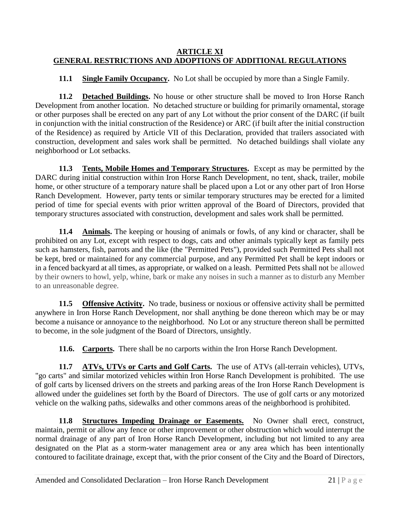#### **ARTICLE XI GENERAL RESTRICTIONS AND ADOPTIONS OF ADDITIONAL REGULATIONS**

**11.1 Single Family Occupancy.** No Lot shall be occupied by more than a Single Family.

**11.2 Detached Buildings.** No house or other structure shall be moved to Iron Horse Ranch Development from another location. No detached structure or building for primarily ornamental, storage or other purposes shall be erected on any part of any Lot without the prior consent of the DARC (if built in conjunction with the initial construction of the Residence) or ARC (if built after the initial construction of the Residence) as required by Article VII of this Declaration, provided that trailers associated with construction, development and sales work shall be permitted. No detached buildings shall violate any neighborhood or Lot setbacks.

**11.3 Tents, Mobile Homes and Temporary Structures.** Except as may be permitted by the DARC during initial construction within Iron Horse Ranch Development, no tent, shack, trailer, mobile home, or other structure of a temporary nature shall be placed upon a Lot or any other part of Iron Horse Ranch Development. However, party tents or similar temporary structures may be erected for a limited period of time for special events with prior written approval of the Board of Directors, provided that temporary structures associated with construction, development and sales work shall be permitted.

**11.4 Animals.** The keeping or housing of animals or fowls, of any kind or character, shall be prohibited on any Lot, except with respect to dogs, cats and other animals typically kept as family pets such as hamsters, fish, parrots and the like (the "Permitted Pets"), provided such Permitted Pets shall not be kept, bred or maintained for any commercial purpose, and any Permitted Pet shall be kept indoors or in a fenced backyard at all times, as appropriate, or walked on a leash. Permitted Pets shall not be allowed by their owners to howl, yelp, whine, bark or make any noises in such a manner as to disturb any Member to an unreasonable degree.

**11.5 Offensive Activity.** No trade, business or noxious or offensive activity shall be permitted anywhere in Iron Horse Ranch Development, nor shall anything be done thereon which may be or may become a nuisance or annoyance to the neighborhood. No Lot or any structure thereon shall be permitted to become, in the sole judgment of the Board of Directors, unsightly.

**11.6. Carports.** There shall be no carports within the Iron Horse Ranch Development.

**11.7 ATVs, UTVs or Carts and Golf Carts.** The use of ATVs (all-terrain vehicles), UTVs, "go carts" and similar motorized vehicles within Iron Horse Ranch Development is prohibited. The use of golf carts by licensed drivers on the streets and parking areas of the Iron Horse Ranch Development is allowed under the guidelines set forth by the Board of Directors. The use of golf carts or any motorized vehicle on the walking paths, sidewalks and other commons areas of the neighborhood is prohibited.

**11.8 Structures Impeding Drainage or Easements.** No Owner shall erect, construct, maintain, permit or allow any fence or other improvement or other obstruction which would interrupt the normal drainage of any part of Iron Horse Ranch Development, including but not limited to any area designated on the Plat as a storm-water management area or any area which has been intentionally contoured to facilitate drainage, except that, with the prior consent of the City and the Board of Directors,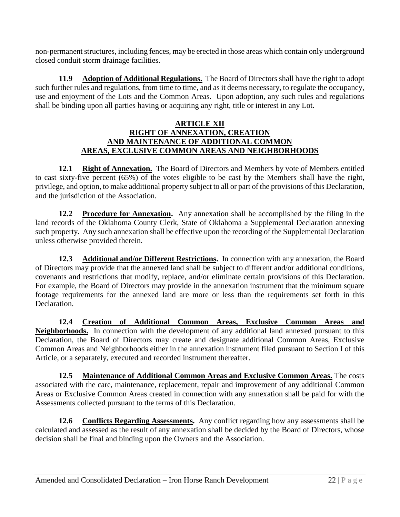non-permanent structures, including fences, may be erected in those areas which contain only underground closed conduit storm drainage facilities.

**11.9 Adoption of Additional Regulations.** The Board of Directors shall have the right to adopt such further rules and regulations, from time to time, and as it deems necessary, to regulate the occupancy, use and enjoyment of the Lots and the Common Areas. Upon adoption, any such rules and regulations shall be binding upon all parties having or acquiring any right, title or interest in any Lot.

#### **ARTICLE XII RIGHT OF ANNEXATION, CREATION AND MAINTENANCE OF ADDITIONAL COMMON AREAS, EXCLUSIVE COMMON AREAS AND NEIGHBORHOODS**

12.1 **Right of Annexation.** The Board of Directors and Members by vote of Members entitled to cast sixty-five percent (65%) of the votes eligible to be cast by the Members shall have the right, privilege, and option, to make additional property subject to all or part of the provisions of this Declaration, and the jurisdiction of the Association.

**12.2 Procedure for Annexation.** Any annexation shall be accomplished by the filing in the land records of the Oklahoma County Clerk, State of Oklahoma a Supplemental Declaration annexing such property. Any such annexation shall be effective upon the recording of the Supplemental Declaration unless otherwise provided therein.

**12.3 Additional and/or Different Restrictions.** In connection with any annexation, the Board of Directors may provide that the annexed land shall be subject to different and/or additional conditions, covenants and restrictions that modify, replace, and/or eliminate certain provisions of this Declaration. For example, the Board of Directors may provide in the annexation instrument that the minimum square footage requirements for the annexed land are more or less than the requirements set forth in this Declaration.

**12.4 Creation of Additional Common Areas, Exclusive Common Areas and Neighborhoods.** In connection with the development of any additional land annexed pursuant to this Declaration, the Board of Directors may create and designate additional Common Areas, Exclusive Common Areas and Neighborhoods either in the annexation instrument filed pursuant to Section I of this Article, or a separately, executed and recorded instrument thereafter.

**12.5 Maintenance of Additional Common Areas and Exclusive Common Areas.** The costs associated with the care, maintenance, replacement, repair and improvement of any additional Common Areas or Exclusive Common Areas created in connection with any annexation shall be paid for with the Assessments collected pursuant to the terms of this Declaration.

**12.6 Conflicts Regarding Assessments.** Any conflict regarding how any assessments shall be calculated and assessed as the result of any annexation shall be decided by the Board of Directors, whose decision shall be final and binding upon the Owners and the Association.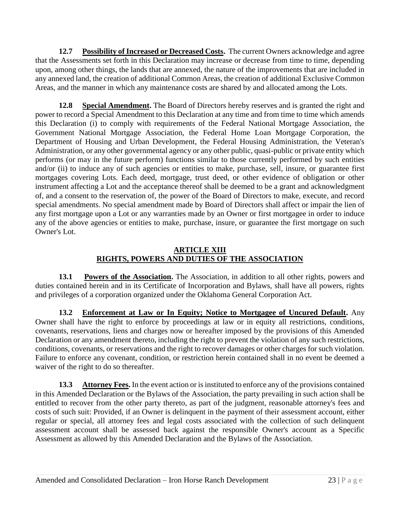**12.7 Possibility of Increased or Decreased Costs.** The current Owners acknowledge and agree that the Assessments set forth in this Declaration may increase or decrease from time to time, depending upon, among other things, the lands that are annexed, the nature of the improvements that are included in any annexed land, the creation of additional Common Areas, the creation of additional Exclusive Common Areas, and the manner in which any maintenance costs are shared by and allocated among the Lots.

**12.8 Special Amendment.** The Board of Directors hereby reserves and is granted the right and power to record a Special Amendment to this Declaration at any time and from time to time which amends this Declaration (i) to comply with requirements of the Federal National Mortgage Association, the Government National Mortgage Association, the Federal Home Loan Mortgage Corporation, the Department of Housing and Urban Development, the Federal Housing Administration, the Veteran's Administration, or any other governmental agency or any other public, quasi-public or private entity which performs (or may in the future perform) functions similar to those currently performed by such entities and/or (ii) to induce any of such agencies or entities to make, purchase, sell, insure, or guarantee first mortgages covering Lots. Each deed, mortgage, trust deed, or other evidence of obligation or other instrument affecting a Lot and the acceptance thereof shall be deemed to be a grant and acknowledgment of, and a consent to the reservation of, the power of the Board of Directors to make, execute, and record special amendments. No special amendment made by Board of Directors shall affect or impair the lien of any first mortgage upon a Lot or any warranties made by an Owner or first mortgagee in order to induce any of the above agencies or entities to make, purchase, insure, or guarantee the first mortgage on such Owner's Lot.

## **ARTICLE XIII RIGHTS, POWERS AND DUTIES OF THE ASSOCIATION**

**13.1 Powers of the Association.** The Association, in addition to all other rights, powers and duties contained herein and in its Certificate of Incorporation and Bylaws, shall have all powers, rights and privileges of a corporation organized under the Oklahoma General Corporation Act.

**13.2 Enforcement at Law or In Equity; Notice to Mortgagee of Uncured Default.** Any Owner shall have the right to enforce by proceedings at law or in equity all restrictions, conditions, covenants, reservations, liens and charges now or hereafter imposed by the provisions of this Amended Declaration or any amendment thereto, including the right to prevent the violation of any such restrictions, conditions, covenants, or reservations and the right to recover damages or other charges for such violation. Failure to enforce any covenant, condition, or restriction herein contained shall in no event be deemed a waiver of the right to do so thereafter.

**13.3 Attorney Fees.** In the event action or is instituted to enforce any of the provisions contained in this Amended Declaration or the Bylaws of the Association, the party prevailing in such action shall be entitled to recover from the other party thereto, as part of the judgment, reasonable attorney's fees and costs of such suit: Provided, if an Owner is delinquent in the payment of their assessment account, either regular or special, all attorney fees and legal costs associated with the collection of such delinquent assessment account shall be assessed back against the responsible Owner's account as a Specific Assessment as allowed by this Amended Declaration and the Bylaws of the Association.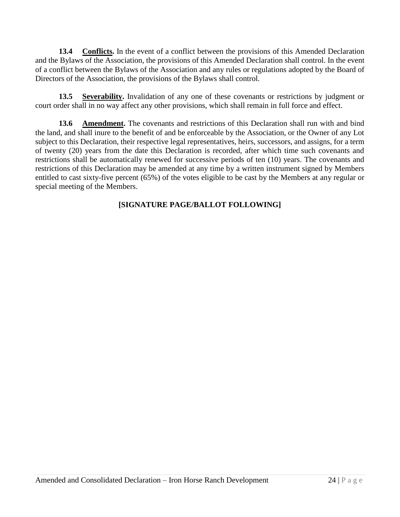**13.4 Conflicts.** In the event of a conflict between the provisions of this Amended Declaration and the Bylaws of the Association, the provisions of this Amended Declaration shall control. In the event of a conflict between the Bylaws of the Association and any rules or regulations adopted by the Board of Directors of the Association, the provisions of the Bylaws shall control.

**13.5 Severability.** Invalidation of any one of these covenants or restrictions by judgment or court order shall in no way affect any other provisions, which shall remain in full force and effect.

**13.6 Amendment.** The covenants and restrictions of this Declaration shall run with and bind the land, and shall inure to the benefit of and be enforceable by the Association, or the Owner of any Lot subject to this Declaration, their respective legal representatives, heirs, successors, and assigns, for a term of twenty (20) years from the date this Declaration is recorded, after which time such covenants and restrictions shall be automatically renewed for successive periods of ten (10) years. The covenants and restrictions of this Declaration may be amended at any time by a written instrument signed by Members entitled to cast sixty-five percent (65%) of the votes eligible to be cast by the Members at any regular or special meeting of the Members.

## **[SIGNATURE PAGE/BALLOT FOLLOWING]**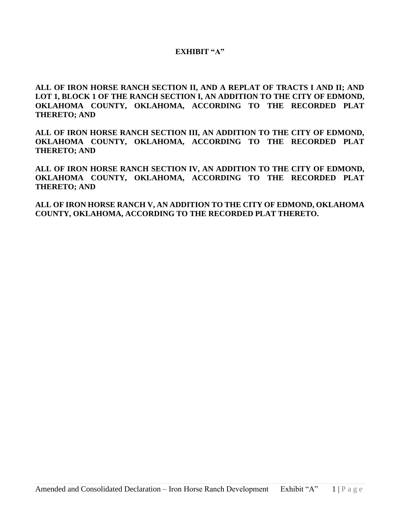#### **EXHIBIT "A"**

**ALL OF IRON HORSE RANCH SECTION II, AND A REPLAT OF TRACTS I AND II; AND LOT 1, BLOCK 1 OF THE RANCH SECTION I, AN ADDITION TO THE CITY OF EDMOND, OKLAHOMA COUNTY, OKLAHOMA, ACCORDING TO THE RECORDED PLAT THERETO; AND**

**ALL OF IRON HORSE RANCH SECTION III, AN ADDITION TO THE CITY OF EDMOND, OKLAHOMA COUNTY, OKLAHOMA, ACCORDING TO THE RECORDED PLAT THERETO; AND**

**ALL OF IRON HORSE RANCH SECTION IV, AN ADDITION TO THE CITY OF EDMOND, OKLAHOMA COUNTY, OKLAHOMA, ACCORDING TO THE RECORDED PLAT THERETO; AND**

**ALL OF IRON HORSE RANCH V, AN ADDITION TO THE CITY OF EDMOND, OKLAHOMA COUNTY, OKLAHOMA, ACCORDING TO THE RECORDED PLAT THERETO.**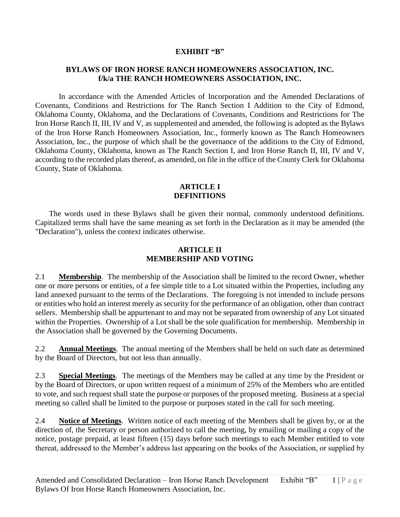#### **EXHIBIT "B"**

#### **BYLAWS OF IRON HORSE RANCH HOMEOWNERS ASSOCIATION, INC. f/k/a THE RANCH HOMEOWNERS ASSOCIATION, INC.**

In accordance with the Amended Articles of Incorporation and the Amended Declarations of Covenants, Conditions and Restrictions for The Ranch Section I Addition to the City of Edmond, Oklahoma County, Oklahoma, and the Declarations of Covenants, Conditions and Restrictions for The Iron Horse Ranch II, III, IV and V, as supplemented and amended, the following is adopted as the Bylaws of the Iron Horse Ranch Homeowners Association, Inc., formerly known as The Ranch Homeowners Association, Inc., the purpose of which shall be the governance of the additions to the City of Edmond, Oklahoma County, Oklahoma, known as The Ranch Section I, and Iron Horse Ranch II, III, IV and V, according to the recorded plats thereof, as amended, on file in the office of the County Clerk for Oklahoma County, State of Oklahoma.

#### **ARTICLE I DEFINITIONS**

The words used in these Bylaws shall be given their normal, commonly understood definitions. Capitalized terms shall have the same meaning as set forth in the Declaration as it may be amended (the "Declaration"), unless the context indicates otherwise.

#### **ARTICLE II MEMBERSHIP AND VOTING**

2.1 **Membership**. The membership of the Association shall be limited to the record Owner, whether one or more persons or entities, of a fee simple title to a Lot situated within the Properties, including any land annexed pursuant to the terms of the Declarations. The foregoing is not intended to include persons or entities who hold an interest merely as security for the performance of an obligation, other than contract sellers. Membership shall be appurtenant to and may not be separated from ownership of any Lot situated within the Properties. Ownership of a Lot shall be the sole qualification for membership. Membership in the Association shall be governed by the Governing Documents.

2.2 **Annual Meetings**. The annual meeting of the Members shall be held on such date as determined by the Board of Directors, but not less than annually.

2.3 **Special Meetings**. The meetings of the Members may be called at any time by the President or by the Board of Directors, or upon written request of a minimum of 25% of the Members who are entitled to vote, and such request shall state the purpose or purposes of the proposed meeting. Business at a special meeting so called shall be limited to the purpose or purposes stated in the call for such meeting.

2.4 **Notice of Meetings**. Written notice of each meeting of the Members shall be given by, or at the direction of, the Secretary or person authorized to call the meeting, by emailing or mailing a copy of the notice, postage prepaid, at least fifteen (15) days before such meetings to each Member entitled to vote thereat, addressed to the Member's address last appearing on the books of the Association, or supplied by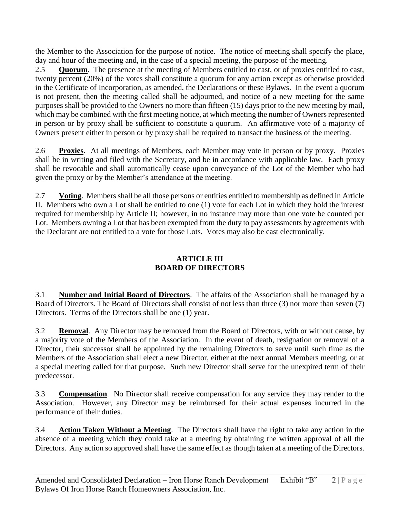the Member to the Association for the purpose of notice. The notice of meeting shall specify the place, day and hour of the meeting and, in the case of a special meeting, the purpose of the meeting.

2.5 **Quorum**. The presence at the meeting of Members entitled to cast, or of proxies entitled to cast, twenty percent (20%) of the votes shall constitute a quorum for any action except as otherwise provided in the Certificate of Incorporation, as amended, the Declarations or these Bylaws. In the event a quorum is not present, then the meeting called shall be adjourned, and notice of a new meeting for the same purposes shall be provided to the Owners no more than fifteen (15) days prior to the new meeting by mail, which may be combined with the first meeting notice, at which meeting the number of Owners represented in person or by proxy shall be sufficient to constitute a quorum. An affirmative vote of a majority of Owners present either in person or by proxy shall be required to transact the business of the meeting.

2.6 **Proxies**. At all meetings of Members, each Member may vote in person or by proxy. Proxies shall be in writing and filed with the Secretary, and be in accordance with applicable law. Each proxy shall be revocable and shall automatically cease upon conveyance of the Lot of the Member who had given the proxy or by the Member's attendance at the meeting.

2.7 **Voting**. Members shall be all those persons or entities entitled to membership as defined in Article II. Members who own a Lot shall be entitled to one (1) vote for each Lot in which they hold the interest required for membership by Article II; however, in no instance may more than one vote be counted per Lot. Members owning a Lot that has been exempted from the duty to pay assessments by agreements with the Declarant are not entitled to a vote for those Lots. Votes may also be cast electronically.

## **ARTICLE III BOARD OF DIRECTORS**

3.1 **Number and Initial Board of Directors**. The affairs of the Association shall be managed by a Board of Directors. The Board of Directors shall consist of not less than three (3) nor more than seven (7) Directors. Terms of the Directors shall be one (1) year.

3.2 **Removal**. Any Director may be removed from the Board of Directors, with or without cause, by a majority vote of the Members of the Association. In the event of death, resignation or removal of a Director, their successor shall be appointed by the remaining Directors to serve until such time as the Members of the Association shall elect a new Director, either at the next annual Members meeting, or at a special meeting called for that purpose. Such new Director shall serve for the unexpired term of their predecessor.

3.3 **Compensation**. No Director shall receive compensation for any service they may render to the Association. However, any Director may be reimbursed for their actual expenses incurred in the performance of their duties.

3.4 **Action Taken Without a Meeting**. The Directors shall have the right to take any action in the absence of a meeting which they could take at a meeting by obtaining the written approval of all the Directors. Any action so approved shall have the same effect as though taken at a meeting of the Directors.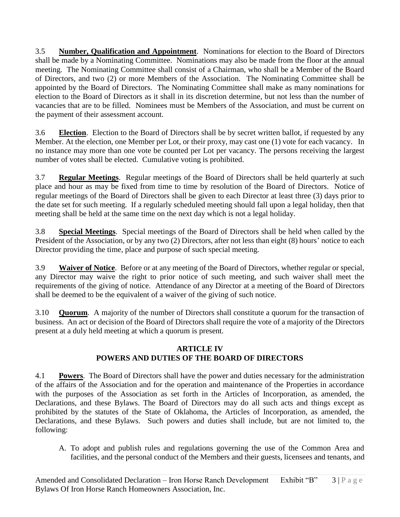3.5 **Number, Qualification and Appointment**. Nominations for election to the Board of Directors shall be made by a Nominating Committee. Nominations may also be made from the floor at the annual meeting. The Nominating Committee shall consist of a Chairman, who shall be a Member of the Board of Directors, and two (2) or more Members of the Association. The Nominating Committee shall be appointed by the Board of Directors. The Nominating Committee shall make as many nominations for election to the Board of Directors as it shall in its discretion determine, but not less than the number of vacancies that are to be filled. Nominees must be Members of the Association, and must be current on the payment of their assessment account.

3.6 **Election**. Election to the Board of Directors shall be by secret written ballot, if requested by any Member. At the election, one Member per Lot, or their proxy, may cast one (1) vote for each vacancy. In no instance may more than one vote be counted per Lot per vacancy. The persons receiving the largest number of votes shall be elected. Cumulative voting is prohibited.

3.7 **Regular Meetings**. Regular meetings of the Board of Directors shall be held quarterly at such place and hour as may be fixed from time to time by resolution of the Board of Directors. Notice of regular meetings of the Board of Directors shall be given to each Director at least three (3) days prior to the date set for such meeting. If a regularly scheduled meeting should fall upon a legal holiday, then that meeting shall be held at the same time on the next day which is not a legal holiday.

3.8 **Special Meetings**. Special meetings of the Board of Directors shall be held when called by the President of the Association, or by any two (2) Directors, after not less than eight (8) hours' notice to each Director providing the time, place and purpose of such special meeting.

3.9 **Waiver of Notice**. Before or at any meeting of the Board of Directors, whether regular or special, any Director may waive the right to prior notice of such meeting, and such waiver shall meet the requirements of the giving of notice. Attendance of any Director at a meeting of the Board of Directors shall be deemed to be the equivalent of a waiver of the giving of such notice.

3.10 **Quorum**. A majority of the number of Directors shall constitute a quorum for the transaction of business. An act or decision of the Board of Directors shall require the vote of a majority of the Directors present at a duly held meeting at which a quorum is present.

## **ARTICLE IV POWERS AND DUTIES OF THE BOARD OF DIRECTORS**

4.1 **Powers**. The Board of Directors shall have the power and duties necessary for the administration of the affairs of the Association and for the operation and maintenance of the Properties in accordance with the purposes of the Association as set forth in the Articles of Incorporation, as amended, the Declarations, and these Bylaws. The Board of Directors may do all such acts and things except as prohibited by the statutes of the State of Oklahoma, the Articles of Incorporation, as amended, the Declarations, and these Bylaws. Such powers and duties shall include, but are not limited to, the following:

A. To adopt and publish rules and regulations governing the use of the Common Area and facilities, and the personal conduct of the Members and their guests, licensees and tenants, and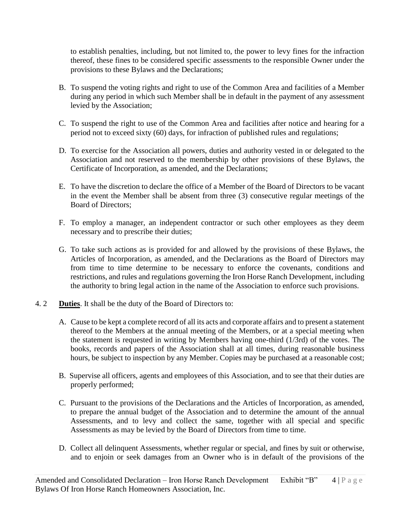to establish penalties, including, but not limited to, the power to levy fines for the infraction thereof, these fines to be considered specific assessments to the responsible Owner under the provisions to these Bylaws and the Declarations;

- B. To suspend the voting rights and right to use of the Common Area and facilities of a Member during any period in which such Member shall be in default in the payment of any assessment levied by the Association;
- C. To suspend the right to use of the Common Area and facilities after notice and hearing for a period not to exceed sixty (60) days, for infraction of published rules and regulations;
- D. To exercise for the Association all powers, duties and authority vested in or delegated to the Association and not reserved to the membership by other provisions of these Bylaws, the Certificate of Incorporation, as amended, and the Declarations;
- E. To have the discretion to declare the office of a Member of the Board of Directors to be vacant in the event the Member shall be absent from three (3) consecutive regular meetings of the Board of Directors;
- F. To employ a manager, an independent contractor or such other employees as they deem necessary and to prescribe their duties;
- G. To take such actions as is provided for and allowed by the provisions of these Bylaws, the Articles of Incorporation, as amended, and the Declarations as the Board of Directors may from time to time determine to be necessary to enforce the covenants, conditions and restrictions, and rules and regulations governing the Iron Horse Ranch Development, including the authority to bring legal action in the name of the Association to enforce such provisions.
- 4. 2 **Duties**. It shall be the duty of the Board of Directors to:
	- A. Cause to be kept a complete record of all its acts and corporate affairs and to present a statement thereof to the Members at the annual meeting of the Members, or at a special meeting when the statement is requested in writing by Members having one-third (1/3rd) of the votes. The books, records and papers of the Association shall at all times, during reasonable business hours, be subject to inspection by any Member. Copies may be purchased at a reasonable cost;
	- B. Supervise all officers, agents and employees of this Association, and to see that their duties are properly performed;
	- C. Pursuant to the provisions of the Declarations and the Articles of Incorporation, as amended, to prepare the annual budget of the Association and to determine the amount of the annual Assessments, and to levy and collect the same, together with all special and specific Assessments as may be levied by the Board of Directors from time to time.
	- D. Collect all delinquent Assessments, whether regular or special, and fines by suit or otherwise, and to enjoin or seek damages from an Owner who is in default of the provisions of the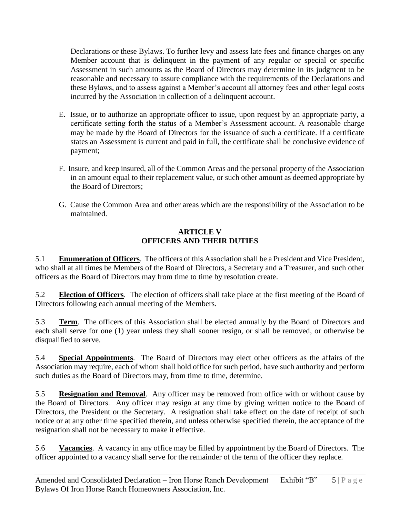Declarations or these Bylaws. To further levy and assess late fees and finance charges on any Member account that is delinquent in the payment of any regular or special or specific Assessment in such amounts as the Board of Directors may determine in its judgment to be reasonable and necessary to assure compliance with the requirements of the Declarations and these Bylaws, and to assess against a Member's account all attorney fees and other legal costs incurred by the Association in collection of a delinquent account.

- E. Issue, or to authorize an appropriate officer to issue, upon request by an appropriate party, a certificate setting forth the status of a Member's Assessment account. A reasonable charge may be made by the Board of Directors for the issuance of such a certificate. If a certificate states an Assessment is current and paid in full, the certificate shall be conclusive evidence of payment;
- F. Insure, and keep insured, all of the Common Areas and the personal property of the Association in an amount equal to their replacement value, or such other amount as deemed appropriate by the Board of Directors;
- G. Cause the Common Area and other areas which are the responsibility of the Association to be maintained.

## **ARTICLE V OFFICERS AND THEIR DUTIES**

5.1 **Enumeration of Officers**. The officers of this Association shall be a President and Vice President, who shall at all times be Members of the Board of Directors, a Secretary and a Treasurer, and such other officers as the Board of Directors may from time to time by resolution create.

5.2 **Election of Officers**. The election of officers shall take place at the first meeting of the Board of Directors following each annual meeting of the Members.

5.3 **Term**. The officers of this Association shall be elected annually by the Board of Directors and each shall serve for one (1) year unless they shall sooner resign, or shall be removed, or otherwise be disqualified to serve.

5.4 **Special Appointments**. The Board of Directors may elect other officers as the affairs of the Association may require, each of whom shall hold office for such period, have such authority and perform such duties as the Board of Directors may, from time to time, determine.

5.5 **Resignation and Removal**. Any officer may be removed from office with or without cause by the Board of Directors. Any officer may resign at any time by giving written notice to the Board of Directors, the President or the Secretary. A resignation shall take effect on the date of receipt of such notice or at any other time specified therein, and unless otherwise specified therein, the acceptance of the resignation shall not be necessary to make it effective.

5.6 **Vacancies**. A vacancy in any office may be filled by appointment by the Board of Directors. The officer appointed to a vacancy shall serve for the remainder of the term of the officer they replace.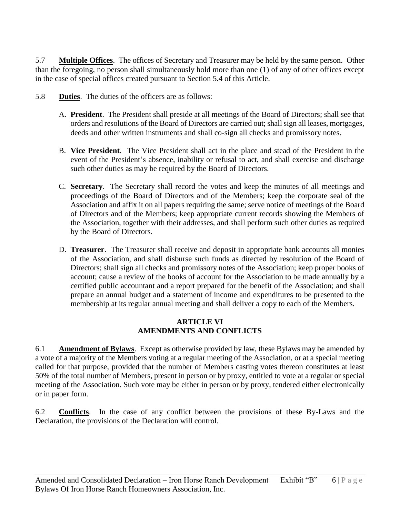5.7 **Multiple Offices**. The offices of Secretary and Treasurer may be held by the same person. Other than the foregoing, no person shall simultaneously hold more than one (1) of any of other offices except in the case of special offices created pursuant to Section 5.4 of this Article.

- 5.8 **Duties**. The duties of the officers are as follows:
	- A. **President**. The President shall preside at all meetings of the Board of Directors; shall see that orders and resolutions of the Board of Directors are carried out; shall sign all leases, mortgages, deeds and other written instruments and shall co-sign all checks and promissory notes.
	- B. **Vice President**. The Vice President shall act in the place and stead of the President in the event of the President's absence, inability or refusal to act, and shall exercise and discharge such other duties as may be required by the Board of Directors.
	- C. **Secretary**. The Secretary shall record the votes and keep the minutes of all meetings and proceedings of the Board of Directors and of the Members; keep the corporate seal of the Association and affix it on all papers requiring the same; serve notice of meetings of the Board of Directors and of the Members; keep appropriate current records showing the Members of the Association, together with their addresses, and shall perform such other duties as required by the Board of Directors.
	- D. **Treasurer**. The Treasurer shall receive and deposit in appropriate bank accounts all monies of the Association, and shall disburse such funds as directed by resolution of the Board of Directors; shall sign all checks and promissory notes of the Association; keep proper books of account; cause a review of the books of account for the Association to be made annually by a certified public accountant and a report prepared for the benefit of the Association; and shall prepare an annual budget and a statement of income and expenditures to be presented to the membership at its regular annual meeting and shall deliver a copy to each of the Members.

#### **ARTICLE VI AMENDMENTS AND CONFLICTS**

6.1 **Amendment of Bylaws**. Except as otherwise provided by law, these Bylaws may be amended by a vote of a majority of the Members voting at a regular meeting of the Association, or at a special meeting called for that purpose, provided that the number of Members casting votes thereon constitutes at least 50% of the total number of Members, present in person or by proxy, entitled to vote at a regular or special meeting of the Association. Such vote may be either in person or by proxy, tendered either electronically or in paper form.

6.2 **Conflicts**. In the case of any conflict between the provisions of these By-Laws and the Declaration, the provisions of the Declaration will control.